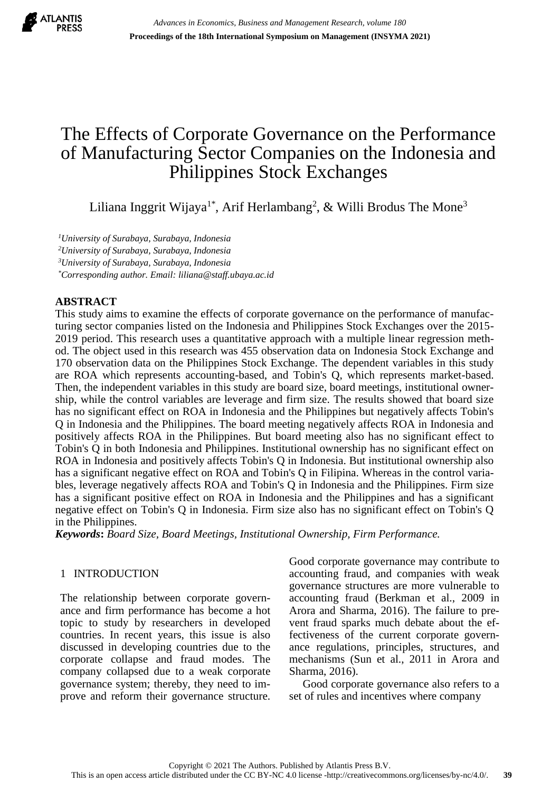

# The Effects of Corporate Governance on the Performance of Manufacturing Sector Companies on the Indonesia and Philippines Stock Exchanges

Liliana Inggrit Wijaya<sup>1\*</sup>, Arif Herlambang<sup>2</sup>, & Willi Brodus The Mone<sup>3</sup>

*<sup>1</sup>University of Surabaya, Surabaya, Indonesia*

*<sup>2</sup>University of Surabaya, Surabaya, Indonesia*

*<sup>3</sup>University of Surabaya, Surabaya, Indonesia*

*\*Corresponding author. Email: liliana@staff.ubaya.ac.id*

# **ABSTRACT**

This study aims to examine the effects of corporate governance on the performance of manufacturing sector companies listed on the Indonesia and Philippines Stock Exchanges over the 2015- 2019 period. This research uses a quantitative approach with a multiple linear regression method. The object used in this research was 455 observation data on Indonesia Stock Exchange and 170 observation data on the Philippines Stock Exchange. The dependent variables in this study are ROA which represents accounting-based, and Tobin's Q, which represents market-based. Then, the independent variables in this study are board size, board meetings, institutional ownership, while the control variables are leverage and firm size. The results showed that board size has no significant effect on ROA in Indonesia and the Philippines but negatively affects Tobin's Q in Indonesia and the Philippines. The board meeting negatively affects ROA in Indonesia and positively affects ROA in the Philippines. But board meeting also has no significant effect to Tobin's Q in both Indonesia and Philippines. Institutional ownership has no significant effect on ROA in Indonesia and positively affects Tobin's Q in Indonesia. But institutional ownership also has a significant negative effect on ROA and Tobin's Q in Filipina. Whereas in the control variables, leverage negatively affects ROA and Tobin's Q in Indonesia and the Philippines. Firm size has a significant positive effect on ROA in Indonesia and the Philippines and has a significant negative effect on Tobin's Q in Indonesia. Firm size also has no significant effect on Tobin's Q in the Philippines.

*Keywords***:** *Board Size, Board Meetings, Institutional Ownership, Firm Performance.*

# 1 INTRODUCTION

The relationship between corporate governance and firm performance has become a hot topic to study by researchers in developed countries. In recent years, this issue is also discussed in developing countries due to the corporate collapse and fraud modes. The company collapsed due to a weak corporate governance system; thereby, they need to improve and reform their governance structure. Good corporate governance may contribute to accounting fraud, and companies with weak governance structures are more vulnerable to accounting fraud (Berkman et al., 2009 in Arora and Sharma, 2016). The failure to prevent fraud sparks much debate about the effectiveness of the current corporate governance regulations, principles, structures, and mechanisms (Sun et al., 2011 in Arora and Sharma, 2016).

Good corporate governance also refers to a set of rules and incentives where company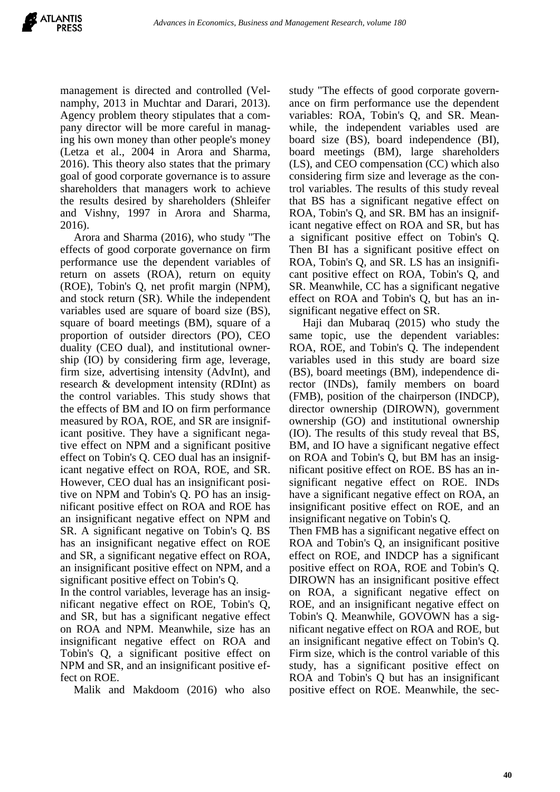management is directed and controlled (Velnamphy, 2013 in Muchtar and Darari, 2013). Agency problem theory stipulates that a company director will be more careful in managing his own money than other people's money (Letza et al., 2004 in Arora and Sharma, 2016). This theory also states that the primary goal of good corporate governance is to assure shareholders that managers work to achieve the results desired by shareholders (Shleifer and Vishny, 1997 in Arora and Sharma, 2016).

Arora and Sharma (2016), who study "The effects of good corporate governance on firm performance use the dependent variables of return on assets (ROA), return on equity (ROE), Tobin's Q, net profit margin (NPM), and stock return (SR). While the independent variables used are square of board size (BS), square of board meetings (BM), square of a proportion of outsider directors (PO), CEO duality (CEO dual), and institutional ownership (IO) by considering firm age, leverage, firm size, advertising intensity (AdvInt), and research & development intensity (RDInt) as the control variables. This study shows that the effects of BM and IO on firm performance measured by ROA, ROE, and SR are insignificant positive. They have a significant negative effect on NPM and a significant positive effect on Tobin's Q. CEO dual has an insignificant negative effect on ROA, ROE, and SR. However, CEO dual has an insignificant positive on NPM and Tobin's Q. PO has an insignificant positive effect on ROA and ROE has an insignificant negative effect on NPM and SR. A significant negative on Tobin's Q. BS has an insignificant negative effect on ROE and SR, a significant negative effect on ROA, an insignificant positive effect on NPM, and a significant positive effect on Tobin's Q.

In the control variables, leverage has an insignificant negative effect on ROE, Tobin's Q, and SR, but has a significant negative effect on ROA and NPM. Meanwhile, size has an insignificant negative effect on ROA and Tobin's Q, a significant positive effect on NPM and SR, and an insignificant positive effect on ROE.

Malik and Makdoom (2016) who also

study "The effects of good corporate governance on firm performance use the dependent variables: ROA, Tobin's Q, and SR. Meanwhile, the independent variables used are board size (BS), board independence (BI), board meetings (BM), large shareholders (LS), and CEO compensation (CC) which also considering firm size and leverage as the control variables. The results of this study reveal that BS has a significant negative effect on ROA, Tobin's Q, and SR. BM has an insignificant negative effect on ROA and SR, but has a significant positive effect on Tobin's Q. Then BI has a significant positive effect on ROA, Tobin's Q, and SR. LS has an insignificant positive effect on ROA, Tobin's Q, and SR. Meanwhile, CC has a significant negative effect on ROA and Tobin's Q, but has an insignificant negative effect on SR.

Haji dan Mubaraq (2015) who study the same topic, use the dependent variables: ROA, ROE, and Tobin's Q. The independent variables used in this study are board size (BS), board meetings (BM), independence director (INDs), family members on board (FMB), position of the chairperson (INDCP), director ownership (DIROWN), government ownership (GO) and institutional ownership (IO). The results of this study reveal that BS, BM, and IO have a significant negative effect on ROA and Tobin's Q, but BM has an insignificant positive effect on ROE. BS has an insignificant negative effect on ROE. INDs have a significant negative effect on ROA, an insignificant positive effect on ROE, and an insignificant negative on Tobin's Q.

Then FMB has a significant negative effect on ROA and Tobin's Q, an insignificant positive effect on ROE, and INDCP has a significant positive effect on ROA, ROE and Tobin's Q. DIROWN has an insignificant positive effect on ROA, a significant negative effect on ROE, and an insignificant negative effect on Tobin's Q. Meanwhile, GOVOWN has a significant negative effect on ROA and ROE, but an insignificant negative effect on Tobin's Q. Firm size, which is the control variable of this study, has a significant positive effect on ROA and Tobin's Q but has an insignificant positive effect on ROE. Meanwhile, the sec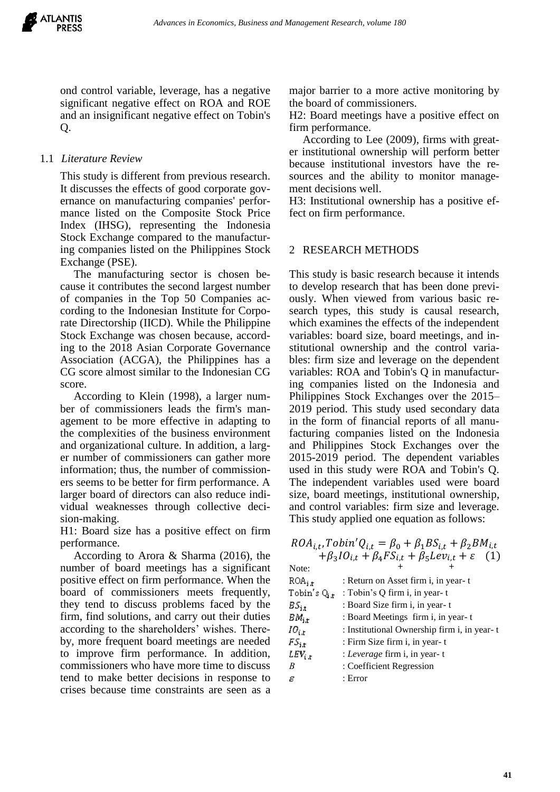ond control variable, leverage, has a negative significant negative effect on ROA and ROE and an insignificant negative effect on Tobin's Q.

# 1.1 *Literature Review*

This study is different from previous research. It discusses the effects of good corporate governance on manufacturing companies' performance listed on the Composite Stock Price Index (IHSG), representing the Indonesia Stock Exchange compared to the manufacturing companies listed on the Philippines Stock Exchange (PSE).

The manufacturing sector is chosen because it contributes the second largest number of companies in the Top 50 Companies according to the Indonesian Institute for Corporate Directorship (IICD). While the Philippine Stock Exchange was chosen because, according to the 2018 Asian Corporate Governance Association (ACGA), the Philippines has a CG score almost similar to the Indonesian CG score.

According to Klein (1998), a larger number of commissioners leads the firm's management to be more effective in adapting to the complexities of the business environment and organizational culture. In addition, a larger number of commissioners can gather more information; thus, the number of commissioners seems to be better for firm performance. A larger board of directors can also reduce individual weaknesses through collective decision-making.

H1: Board size has a positive effect on firm performance.

According to Arora & Sharma (2016), the number of board meetings has a significant positive effect on firm performance. When the board of commissioners meets frequently, they tend to discuss problems faced by the firm, find solutions, and carry out their duties according to the shareholders' wishes. Thereby, more frequent board meetings are needed to improve firm performance. In addition, commissioners who have more time to discuss tend to make better decisions in response to crises because time constraints are seen as a

major barrier to a more active monitoring by the board of commissioners.

H2: Board meetings have a positive effect on firm performance.

According to Lee (2009), firms with greater institutional ownership will perform better because institutional investors have the resources and the ability to monitor management decisions well.

H3: Institutional ownership has a positive effect on firm performance.

#### 2 RESEARCH METHODS

This study is basic research because it intends to develop research that has been done previously. When viewed from various basic research types, this study is causal research, which examines the effects of the independent variables: board size, board meetings, and institutional ownership and the control variables: firm size and leverage on the dependent variables: ROA and Tobin's Q in manufacturing companies listed on the Indonesia and Philippines Stock Exchanges over the 2015– 2019 period. This study used secondary data in the form of financial reports of all manufacturing companies listed on the Indonesia and Philippines Stock Exchanges over the 2015-2019 period. The dependent variables used in this study were ROA and Tobin's Q. The independent variables used were board size, board meetings, institutional ownership, and control variables: firm size and leverage. This study applied one equation as follows:

| Note:               |         |                                             |  |
|---------------------|---------|---------------------------------------------|--|
| $ROA_{i,t}$         |         | : Return on Asset firm i, in year-t         |  |
| Tobin's $Q_{i,t}$   |         | : Tobin's Q firm i, in year-t               |  |
| $BS_{\rm i, t}$     |         | : Board Size firm i, in year-t              |  |
| $BM_{i,t}$          |         | : Board Meetings firm i, in year-t          |  |
| $IO_{i,\mathrm{r}}$ |         | : Institutional Ownership firm i, in year-t |  |
| $FS_{i,t}$          |         | : Firm Size firm i, in year-t               |  |
| $LEV_{i,t}$         |         | : Leverage firm i, in year-t                |  |
| B                   |         | : Coefficient Regression                    |  |
| ε                   | : Error |                                             |  |

# $ROA_{i,t}$ ,  $Tobin'Q_{i,t} = \beta_0 + \beta_1 BS_{i,t} + \beta_2 BM_{i,t}$  $+\beta_3 I O_{i,t} + \beta_4 F S_{i,t} + \beta_5 L e v_{i,t} + \varepsilon$  (1)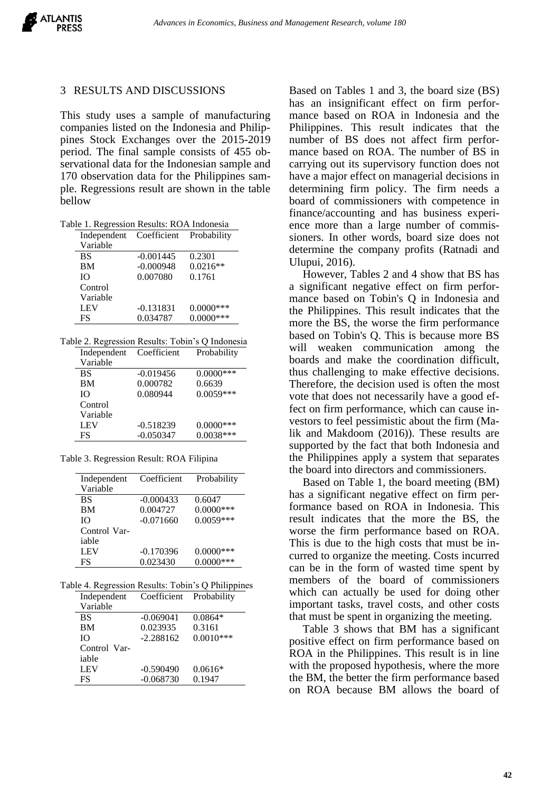

#### 3 RESULTS AND DISCUSSIONS

This study uses a sample of manufacturing companies listed on the Indonesia and Philippines Stock Exchanges over the 2015-2019 period. The final sample consists of 455 observational data for the Indonesian sample and 170 observation data for the Philippines sample. Regressions result are shown in the table bellow

| Table 1. Regression Results: ROA Indonesia |
|--------------------------------------------|
|--------------------------------------------|

| Independent | Coefficient | Probability |
|-------------|-------------|-------------|
| Variable    |             |             |
| <b>BS</b>   | $-0.001445$ | 0.2301      |
| <b>BM</b>   | $-0.000948$ | $0.0216**$  |
| Ю           | 0.007080    | 0.1761      |
| Control     |             |             |
| Variable    |             |             |
| <b>LEV</b>  | $-0.131831$ | $0.0000***$ |
| FS          | 0.034787    | $0.0000***$ |

|  |  |  | Table 2. Regression Results: Tobin's Q Indonesia                          |  |  |  |
|--|--|--|---------------------------------------------------------------------------|--|--|--|
|  |  |  | $\mathbf{r}$ 1 $\alpha$ $\alpha$ $\mathbf{r}$ $\mathbf{n}$ 1 $\mathbf{r}$ |  |  |  |

| Coefficient | Probability  |
|-------------|--------------|
|             |              |
| $-0.019456$ | $0.0000$ *** |
| 0.000782    | 0.6639       |
| 0.080944    | $0.0059***$  |
|             |              |
|             |              |
| $-0.518239$ | $0.0000$ *** |
| $-0.050347$ | $0.0038***$  |
|             |              |

Table 3. Regression Result: ROA Filipina

| Independent  | Coefficient | Probability  |
|--------------|-------------|--------------|
| Variable     |             |              |
| <b>BS</b>    | $-0.000433$ | 0.6047       |
| BМ           | 0.004727    | $0.0000$ *** |
| IΟ           | $-0.071660$ | $0.0059***$  |
| Control Var- |             |              |
| iable        |             |              |
| <b>LEV</b>   | $-0.170396$ | $0.0000$ *** |
| FS           | 0.023430    | $0.0000***$  |

| Table 4. Regression Results: Tobin's Q Philippines |                                                                                |  |
|----------------------------------------------------|--------------------------------------------------------------------------------|--|
|                                                    | $\mathbf{r}$ 1, $\alpha$ $\alpha$ $\mathbf{r}$ , $\mathbf{n}$ 11, $\mathbf{r}$ |  |

| Independent  | Coefficient Probability |             |
|--------------|-------------------------|-------------|
| Variable     |                         |             |
| <b>BS</b>    | $-0.069041$             | $0.0864*$   |
| BM           | 0.023935                | 0.3161      |
| IO.          | $-2.288162$             | $0.0010***$ |
| Control Var- |                         |             |
| iable        |                         |             |
| <b>LEV</b>   | $-0.590490$             | $0.0616*$   |
| FS           | $-0.068730$             | 0.1947      |
|              |                         |             |

Based on Tables 1 and 3, the board size (BS) has an insignificant effect on firm performance based on ROA in Indonesia and the Philippines. This result indicates that the number of BS does not affect firm performance based on ROA. The number of BS in carrying out its supervisory function does not have a major effect on managerial decisions in determining firm policy. The firm needs a board of commissioners with competence in finance/accounting and has business experience more than a large number of commissioners. In other words, board size does not determine the company profits (Ratnadi and Ulupui, 2016).

However, Tables 2 and 4 show that BS has a significant negative effect on firm performance based on Tobin's Q in Indonesia and the Philippines. This result indicates that the more the BS, the worse the firm performance based on Tobin's Q. This is because more BS will weaken communication among the boards and make the coordination difficult, thus challenging to make effective decisions. Therefore, the decision used is often the most vote that does not necessarily have a good effect on firm performance, which can cause investors to feel pessimistic about the firm (Malik and Makdoom (2016)). These results are supported by the fact that both Indonesia and the Philippines apply a system that separates the board into directors and commissioners.

Based on Table 1, the board meeting (BM) has a significant negative effect on firm performance based on ROA in Indonesia. This result indicates that the more the BS, the worse the firm performance based on ROA. This is due to the high costs that must be incurred to organize the meeting. Costs incurred can be in the form of wasted time spent by members of the board of commissioners which can actually be used for doing other important tasks, travel costs, and other costs that must be spent in organizing the meeting.

Table 3 shows that BM has a significant positive effect on firm performance based on ROA in the Philippines. This result is in line with the proposed hypothesis, where the more the BM, the better the firm performance based on ROA because BM allows the board of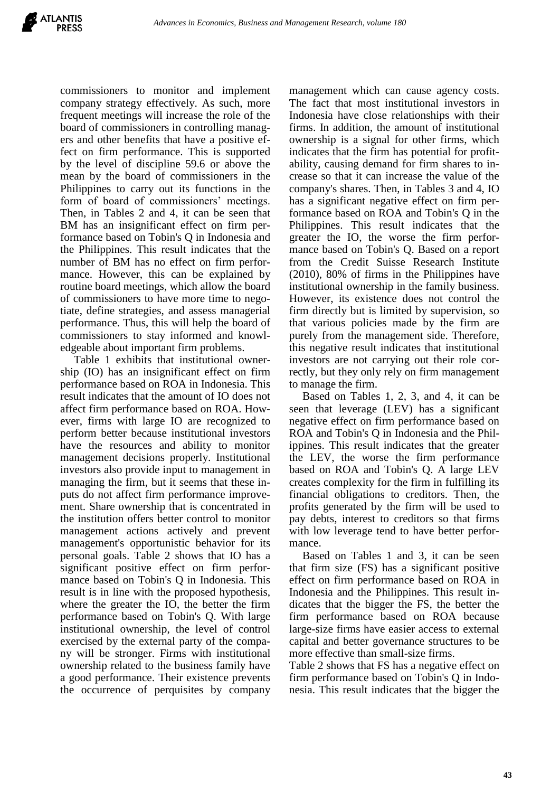commissioners to monitor and implement company strategy effectively. As such, more frequent meetings will increase the role of the board of commissioners in controlling managers and other benefits that have a positive effect on firm performance. This is supported by the level of discipline 59.6 or above the mean by the board of commissioners in the Philippines to carry out its functions in the form of board of commissioners' meetings. Then, in Tables 2 and 4, it can be seen that BM has an insignificant effect on firm performance based on Tobin's Q in Indonesia and the Philippines. This result indicates that the number of BM has no effect on firm performance. However, this can be explained by routine board meetings, which allow the board of commissioners to have more time to negotiate, define strategies, and assess managerial performance. Thus, this will help the board of commissioners to stay informed and knowledgeable about important firm problems.

Table 1 exhibits that institutional ownership (IO) has an insignificant effect on firm performance based on ROA in Indonesia. This result indicates that the amount of IO does not affect firm performance based on ROA. However, firms with large IO are recognized to perform better because institutional investors have the resources and ability to monitor management decisions properly. Institutional investors also provide input to management in managing the firm, but it seems that these inputs do not affect firm performance improvement. Share ownership that is concentrated in the institution offers better control to monitor management actions actively and prevent management's opportunistic behavior for its personal goals. Table 2 shows that IO has a significant positive effect on firm performance based on Tobin's Q in Indonesia. This result is in line with the proposed hypothesis, where the greater the IO, the better the firm performance based on Tobin's Q. With large institutional ownership, the level of control exercised by the external party of the company will be stronger. Firms with institutional ownership related to the business family have a good performance. Their existence prevents the occurrence of perquisites by company

management which can cause agency costs. The fact that most institutional investors in Indonesia have close relationships with their firms. In addition, the amount of institutional ownership is a signal for other firms, which indicates that the firm has potential for profitability, causing demand for firm shares to increase so that it can increase the value of the company's shares. Then, in Tables 3 and 4, IO has a significant negative effect on firm performance based on ROA and Tobin's Q in the Philippines. This result indicates that the greater the IO, the worse the firm performance based on Tobin's Q. Based on a report from the Credit Suisse Research Institute (2010), 80% of firms in the Philippines have institutional ownership in the family business. However, its existence does not control the firm directly but is limited by supervision, so that various policies made by the firm are purely from the management side. Therefore, this negative result indicates that institutional investors are not carrying out their role correctly, but they only rely on firm management to manage the firm.

Based on Tables 1, 2, 3, and 4, it can be seen that leverage (LEV) has a significant negative effect on firm performance based on ROA and Tobin's Q in Indonesia and the Philippines. This result indicates that the greater the LEV, the worse the firm performance based on ROA and Tobin's Q. A large LEV creates complexity for the firm in fulfilling its financial obligations to creditors. Then, the profits generated by the firm will be used to pay debts, interest to creditors so that firms with low leverage tend to have better performance.

Based on Tables 1 and 3, it can be seen that firm size (FS) has a significant positive effect on firm performance based on ROA in Indonesia and the Philippines. This result indicates that the bigger the FS, the better the firm performance based on ROA because large-size firms have easier access to external capital and better governance structures to be more effective than small-size firms.

Table 2 shows that FS has a negative effect on firm performance based on Tobin's Q in Indonesia. This result indicates that the bigger the